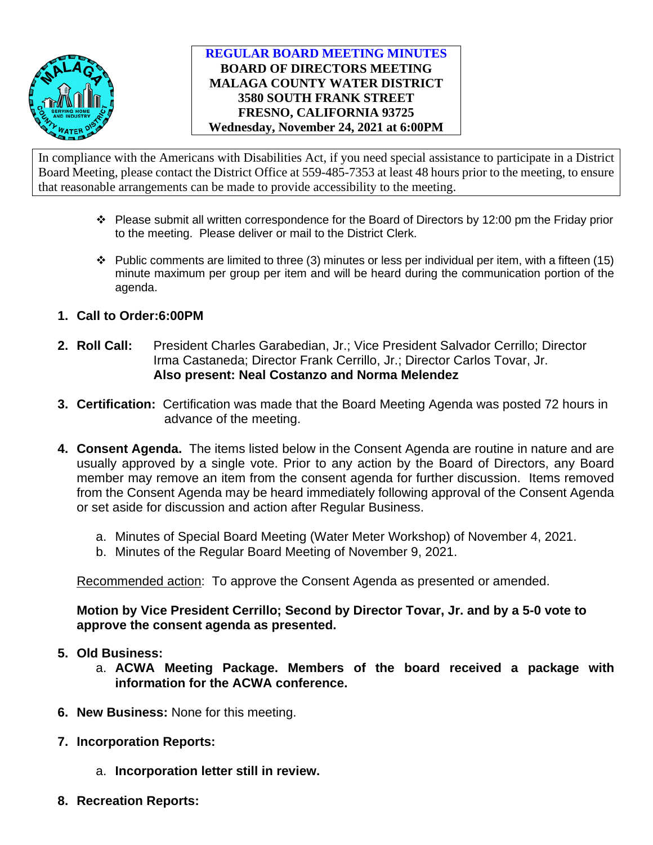

## **REGULAR BOARD MEETING MINUTES BOARD OF DIRECTORS MEETING MALAGA COUNTY WATER DISTRICT 3580 SOUTH FRANK STREET FRESNO, CALIFORNIA 93725 Wednesday, November 24, 2021 at 6:00PM**

In compliance with the Americans with Disabilities Act, if you need special assistance to participate in a District Board Meeting, please contact the District Office at 559-485-7353 at least 48 hours prior to the meeting, to ensure that reasonable arrangements can be made to provide accessibility to the meeting.

- $\cdot \cdot$  Please submit all written correspondence for the Board of Directors by 12:00 pm the Friday prior to the meeting. Please deliver or mail to the District Clerk.
- $\cdot \cdot$  Public comments are limited to three (3) minutes or less per individual per item, with a fifteen (15) minute maximum per group per item and will be heard during the communication portion of the agenda.
- **1. Call to Order:6:00PM**
- **2. Roll Call:** President Charles Garabedian, Jr.; Vice President Salvador Cerrillo; Director Irma Castaneda; Director Frank Cerrillo, Jr.; Director Carlos Tovar, Jr. **Also present: Neal Costanzo and Norma Melendez**
- **3. Certification:** Certification was made that the Board Meeting Agenda was posted 72 hours in advance of the meeting.
- **4. Consent Agenda.** The items listed below in the Consent Agenda are routine in nature and are usually approved by a single vote. Prior to any action by the Board of Directors, any Board member may remove an item from the consent agenda for further discussion. Items removed from the Consent Agenda may be heard immediately following approval of the Consent Agenda or set aside for discussion and action after Regular Business.
	- a. Minutes of Special Board Meeting (Water Meter Workshop) of November 4, 2021.
	- b. Minutes of the Regular Board Meeting of November 9, 2021.

Recommended action: To approve the Consent Agenda as presented or amended.

**Motion by Vice President Cerrillo; Second by Director Tovar, Jr. and by a 5-0 vote to approve the consent agenda as presented.** 

- **5. Old Business:**
	- a. **ACWA Meeting Package. Members of the board received a package with information for the ACWA conference.**
- **6. New Business:** None for this meeting.
- **7. Incorporation Reports:**
	- a. **Incorporation letter still in review.**
- **8. Recreation Reports:**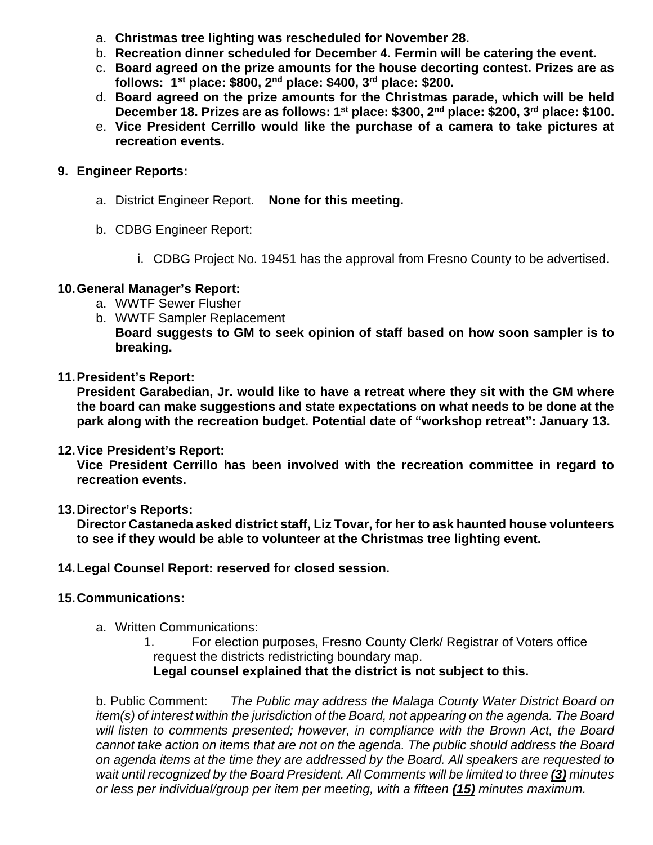- a. **Christmas tree lighting was rescheduled for November 28.**
- b. **Recreation dinner scheduled for December 4. Fermin will be catering the event.**
- c. **Board agreed on the prize amounts for the house decorting contest. Prizes are as follows: 1st place: \$800, 2nd place: \$400, 3rd place: \$200.**
- d. **Board agreed on the prize amounts for the Christmas parade, which will be held December 18. Prizes are as follows: 1st place: \$300, 2nd place: \$200, 3rd place: \$100.**
- e. **Vice President Cerrillo would like the purchase of a camera to take pictures at recreation events.**

## **9. Engineer Reports:**

- a. District Engineer Report. **None for this meeting.**
- b. CDBG Engineer Report:
	- i. CDBG Project No. 19451 has the approval from Fresno County to be advertised.

## **10.General Manager's Report:**

- a. WWTF Sewer Flusher
- b. WWTF Sampler Replacement **Board suggests to GM to seek opinion of staff based on how soon sampler is to breaking.**

## **11.President's Report:**

**President Garabedian, Jr. would like to have a retreat where they sit with the GM where the board can make suggestions and state expectations on what needs to be done at the park along with the recreation budget. Potential date of "workshop retreat": January 13.** 

### **12.Vice President's Report:**

**Vice President Cerrillo has been involved with the recreation committee in regard to recreation events.** 

### **13.Director's Reports:**

**Director Castaneda asked district staff, Liz Tovar, for her to ask haunted house volunteers to see if they would be able to volunteer at the Christmas tree lighting event.** 

### **14.Legal Counsel Report: reserved for closed session.**

# **15.Communications:**

a. Written Communications:

1. For election purposes, Fresno County Clerk/ Registrar of Voters office request the districts redistricting boundary map. **Legal counsel explained that the district is not subject to this.** 

b. Public Comment: *The Public may address the Malaga County Water District Board on item(s) of interest within the jurisdiction of the Board, not appearing on the agenda. The Board*  will listen to comments presented; however, in compliance with the Brown Act, the Board *cannot take action on items that are not on the agenda. The public should address the Board on agenda items at the time they are addressed by the Board. All speakers are requested to wait until recognized by the Board President. All Comments will be limited to three (3) minutes or less per individual/group per item per meeting, with a fifteen (15) minutes maximum.*